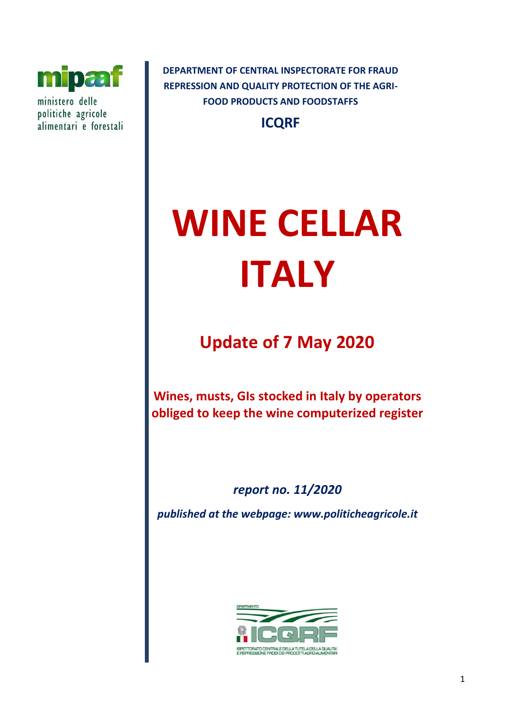

ministero delle politiche agricole alimentari e forestali **DEPARTMENT OF CENTRAL INSPECTORATE FOR FRAUD REPRESSION AND QUALITY PROTECTION OF THE AGRI-FOOD PRODUCTS AND FOODSTAFFS**

**ICQRF**

# **WINE CELLAR ITALY**

**Update of 7 May 2020**

**Wines, musts, GIs stocked in Italy by operators obliged to keep the wine computerized register**

*report no. 11/2020*

*published at the webpage: www.politicheagricole.it*

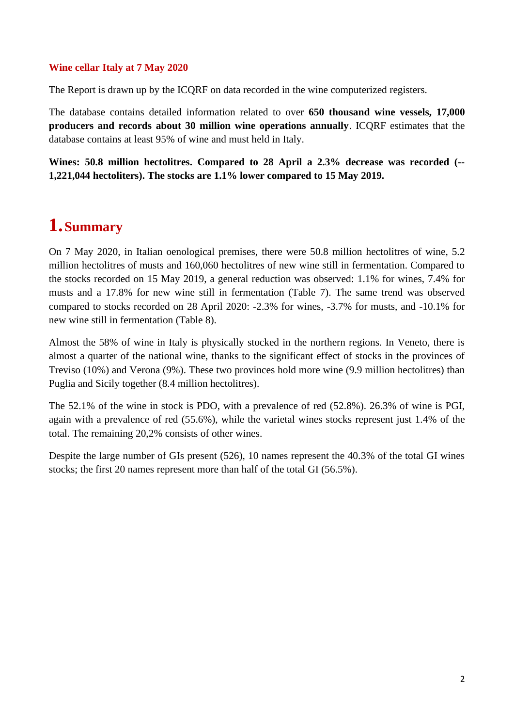## **Wine cellar Italy at 7 May 2020**

The Report is drawn up by the ICQRF on data recorded in the wine computerized registers.

The database contains detailed information related to over **650 thousand wine vessels, 17,000 producers and records about 30 million wine operations annually**. ICQRF estimates that the database contains at least 95% of wine and must held in Italy.

**Wines: 50.8 million hectolitres. Compared to 28 April a 2.3% decrease was recorded (-- 1,221,044 hectoliters). The stocks are 1.1% lower compared to 15 May 2019.**

## **1.Summary**

On 7 May 2020, in Italian oenological premises, there were 50.8 million hectolitres of wine, 5.2 million hectolitres of musts and 160,060 hectolitres of new wine still in fermentation. Compared to the stocks recorded on 15 May 2019, a general reduction was observed: 1.1% for wines, 7.4% for musts and a 17.8% for new wine still in fermentation (Table 7). The same trend was observed compared to stocks recorded on 28 April 2020: -2.3% for wines, -3.7% for musts, and -10.1% for new wine still in fermentation (Table 8).

Almost the 58% of wine in Italy is physically stocked in the northern regions. In Veneto, there is almost a quarter of the national wine, thanks to the significant effect of stocks in the provinces of Treviso (10%) and Verona (9%). These two provinces hold more wine (9.9 million hectolitres) than Puglia and Sicily together (8.4 million hectolitres).

The 52.1% of the wine in stock is PDO, with a prevalence of red (52.8%). 26.3% of wine is PGI, again with a prevalence of red (55.6%), while the varietal wines stocks represent just 1.4% of the total. The remaining 20,2% consists of other wines.

Despite the large number of GIs present (526), 10 names represent the 40.3% of the total GI wines stocks; the first 20 names represent more than half of the total GI (56.5%).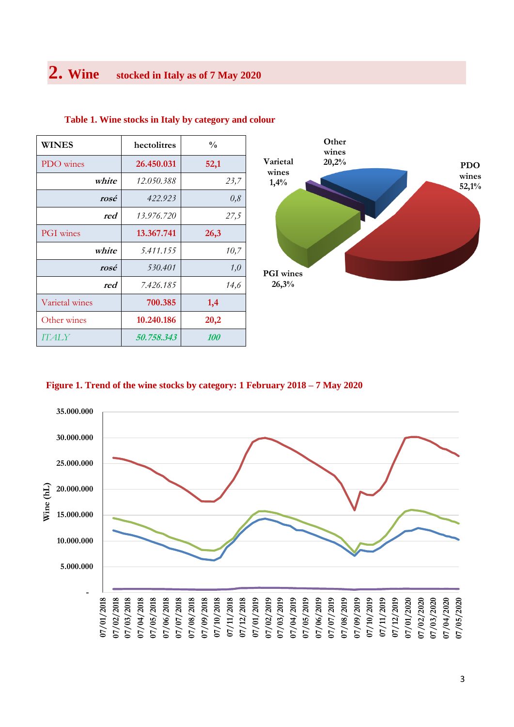| WINES            | hectolitres | $\frac{0}{0}$ |
|------------------|-------------|---------------|
| PDO wines        | 26.450.031  | 52,1          |
| white            | 12.050.388  | 23,7          |
| rosé             | 422.923     | 0,8           |
| red              | 13.976.720  | 27,5          |
| <b>PGI</b> wines | 13.367.741  | 26,3          |
| white            | 5.411.155   | 10,7          |
| rosé             | 530.401     | 1,0           |
| red              | 7.426.185   | 14,6          |
| Varietal wines   | 700.385     | 1,4           |
| Other wines      | 10.240.186  | 20,2          |
| <b>ITALY</b>     | 50.758.343  | <i>100</i>    |

#### **Table 1. Wine stocks in Italy by category and colour**



#### **Figure 1. Trend of the wine stocks by category: 1 February 2018 – 7 May 2020**

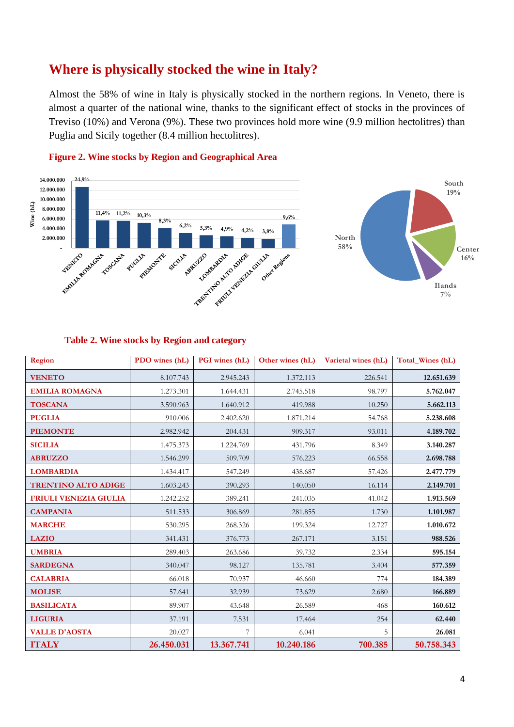## **Where is physically stocked the wine in Italy?**

Almost the 58% of wine in Italy is physically stocked in the northern regions. In Veneto, there is almost a quarter of the national wine, thanks to the significant effect of stocks in the provinces of Treviso (10%) and Verona (9%). These two provinces hold more wine (9.9 million hectolitres) than Puglia and Sicily together (8.4 million hectolitres).



## **Figure 2. Wine stocks by Region and Geographical Area**

#### **Table 2. Wine stocks by Region and category**

| Region                     | PDO wines (hL) | PGI wines (hL) | Other wines (hL) | Varietal wines (hL) | Total_Wines (hL) |
|----------------------------|----------------|----------------|------------------|---------------------|------------------|
| <b>VENETO</b>              | 8.107.743      | 2.945.243      | 1.372.113        | 226.541             | 12.651.639       |
| <b>EMILIA ROMAGNA</b>      | 1.273.301      | 1.644.431      | 2.745.518        | 98.797              | 5.762.047        |
| <b>TOSCANA</b>             | 3.590.963      | 1.640.912      | 419.988          | 10.250              | 5.662.113        |
| <b>PUGLIA</b>              | 910.006        | 2.402.620      | 1.871.214        | 54.768              | 5.238.608        |
| <b>PIEMONTE</b>            | 2.982.942      | 204.431        | 909.317          | 93.011              | 4.189.702        |
| <b>SICILIA</b>             | 1.475.373      | 1.224.769      | 431.796          | 8.349               | 3.140.287        |
| <b>ABRUZZO</b>             | 1.546.299      | 509.709        | 576.223          | 66.558              | 2.698.788        |
| <b>LOMBARDIA</b>           | 1.434.417      | 547.249        | 438.687          | 57.426              | 2.477.779        |
| <b>TRENTINO ALTO ADIGE</b> | 1.603.243      | 390.293        | 140.050          | 16.114              | 2.149.701        |
| FRIULI VENEZIA GIULIA      | 1.242.252      | 389.241        | 241.035          | 41.042              | 1.913.569        |
| <b>CAMPANIA</b>            | 511.533        | 306.869        | 281.855          | 1.730               | 1.101.987        |
| <b>MARCHE</b>              | 530.295        | 268.326        | 199.324          | 12.727              | 1.010.672        |
| <b>LAZIO</b>               | 341.431        | 376.773        | 267.171          | 3.151               | 988.526          |
| <b>UMBRIA</b>              | 289.403        | 263.686        | 39.732           | 2.334               | 595.154          |
| <b>SARDEGNA</b>            | 340.047        | 98.127         | 135.781          | 3.404               | 577.359          |
| <b>CALABRIA</b>            | 66.018         | 70.937         | 46.660           | 774                 | 184.389          |
| <b>MOLISE</b>              | 57.641         | 32.939         | 73.629           | 2.680               | 166.889          |
| <b>BASILICATA</b>          | 89.907         | 43.648         | 26.589           | 468                 | 160.612          |
| <b>LIGURIA</b>             | 37.191         | 7.531          | 17.464           | 254                 | 62.440           |
| <b>VALLE D'AOSTA</b>       | 20.027         | 7              | 6.041            | 5                   | 26.081           |
| <b>ITALY</b>               | 26.450.031     | 13.367.741     | 10.240.186       | 700.385             | 50.758.343       |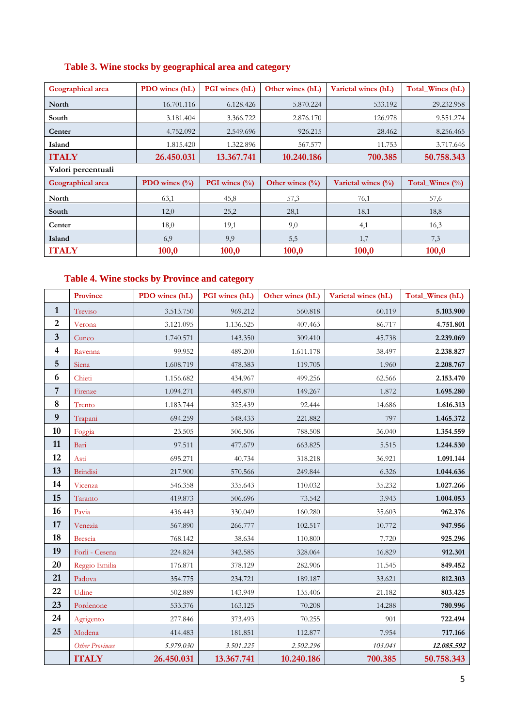| Geographical area  | PDO wines (hL)          | <b>PGI</b> wines (hL)          | Other wines (hL)    | Varietal wines (hL)    | Total Wines (hL) |
|--------------------|-------------------------|--------------------------------|---------------------|------------------------|------------------|
| North              | 16.701.116              | 6.128.426                      | 5.870.224           | 533.192                | 29.232.958       |
| South              | 3.181.404               | 3.366.722                      | 2.876.170           | 126.978                | 9.551.274        |
| Center             | 4.752.092               | 2.549.696                      | 926.215             | 28.462                 | 8.256.465        |
| Island             | 1.815.420               | 1.322.896                      | 567.577             | 11.753                 | 3.717.646        |
| <b>ITALY</b>       | 26.450.031              | 13.367.741                     | 10.240.186          | 700.385                | 50.758.343       |
| Valori percentuali |                         |                                |                     |                        |                  |
| Geographical area  | PDO wines $\frac{0}{0}$ | <b>PGI</b> wines $\frac{0}{0}$ | Other wines $(\% )$ | Varietal wines $(\% )$ | Total_Wines (%)  |
| North              | 63,1                    | 45,8                           | 57,3                | 76,1                   | 57,6             |
| South              | 12,0                    | 25,2                           | 28,1                | 18,1                   | 18,8             |
| Center             | 18,0                    | 19,1                           | 9,0                 | 4,1                    | 16,3             |
| Island             | 6,9                     | 9,9                            | 5,5                 | 1,7                    | 7,3              |
| <b>ITALY</b>       | 100,0                   | 100,0                          | 100,0               | 100,0                  | 100,0            |

## **Table 4. Wine stocks by Province and category**

|                         | <b>Province</b>        | PDO wines (hL) | PGI wines (hL) | Other wines (hL) | Varietal wines (hL) | Total Wines (hL) |
|-------------------------|------------------------|----------------|----------------|------------------|---------------------|------------------|
| $\mathbf{1}$            | Treviso                | 3.513.750      | 969.212        | 560.818          | 60.119              | 5.103.900        |
| $\overline{2}$          | Verona                 | 3.121.095      | 1.136.525      | 407.463          | 86.717              | 4.751.801        |
| $\mathbf{3}$            | Cuneo                  | 1.740.571      | 143.350        | 309.410          | 45.738              | 2.239.069        |
| $\overline{\mathbf{4}}$ | Ravenna                | 99.952         | 489.200        | 1.611.178        | 38.497              | 2.238.827        |
| $\sqrt{5}$              | Siena                  | 1.608.719      | 478.383        | 119.705          | 1.960               | 2.208.767        |
| 6                       | Chieti                 | 1.156.682      | 434.967        | 499.256          | 62.566              | 2.153.470        |
| $\overline{7}$          | Firenze                | 1.094.271      | 449.870        | 149.267          | 1.872               | 1.695.280        |
| 8                       | Trento                 | 1.183.744      | 325.439        | 92.444           | 14.686              | 1.616.313        |
| $\boldsymbol{9}$        | Trapani                | 694.259        | 548.433        | 221.882          | 797                 | 1.465.372        |
| 10                      | Foggia                 | 23.505         | 506.506        | 788.508          | 36.040              | 1.354.559        |
| 11                      | Bari                   | 97.511         | 477.679        | 663.825          | 5.515               | 1.244.530        |
| 12                      | Asti                   | 695.271        | 40.734         | 318.218          | 36.921              | 1.091.144        |
| 13                      | <b>Brindisi</b>        | 217.900        | 570.566        | 249.844          | 6.326               | 1.044.636        |
| 14                      | Vicenza                | 546.358        | 335.643        | 110.032          | 35.232              | 1.027.266        |
| 15                      | Taranto                | 419.873        | 506.696        | 73.542           | 3.943               | 1.004.053        |
| 16                      | Pavia                  | 436.443        | 330.049        | 160.280          | 35.603              | 962.376          |
| 17                      | Venezia                | 567.890        | 266.777        | 102.517          | 10.772              | 947.956          |
| 18                      | <b>Brescia</b>         | 768.142        | 38.634         | 110.800          | 7.720               | 925.296          |
| 19                      | Forlì - Cesena         | 224.824        | 342.585        | 328.064          | 16.829              | 912.301          |
| 20                      | Reggio Emilia          | 176.871        | 378.129        | 282.906          | 11.545              | 849.452          |
| 21                      | Padova                 | 354.775        | 234.721        | 189.187          | 33.621              | 812.303          |
| 22                      | Udine                  | 502.889        | 143.949        | 135.406          | 21.182              | 803.425          |
| 23                      | Pordenone              | 533.376        | 163.125        | 70.208           | 14.288              | 780.996          |
| 24                      | Agrigento              | 277.846        | 373.493        | 70.255           | 901                 | 722.494          |
| 25                      | Modena                 | 414.483        | 181.851        | 112.877          | 7.954               | 717.166          |
|                         | <b>Other Provinces</b> | 5.979.030      | 3.501.225      | 2.502.296        | 103.041             | 12.085.592       |
|                         | <b>ITALY</b>           | 26.450.031     | 13.367.741     | 10.240.186       | 700.385             | 50.758.343       |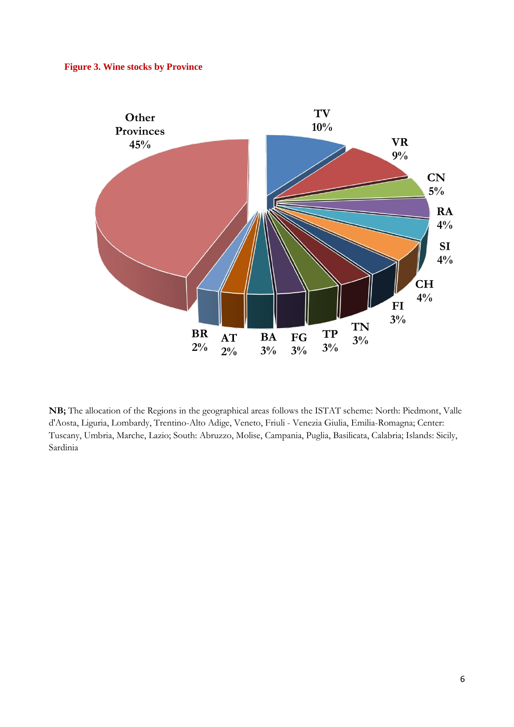### **Figure 3. Wine stocks by Province**



**NB;** The allocation of the Regions in the geographical areas follows the ISTAT scheme: North: Piedmont, Valle d'Aosta, Liguria, Lombardy, Trentino-Alto Adige, Veneto, Friuli - Venezia Giulia, Emilia-Romagna; Center: Tuscany, Umbria, Marche, Lazio; South: Abruzzo, Molise, Campania, Puglia, Basilicata, Calabria; Islands: Sicily, Sardinia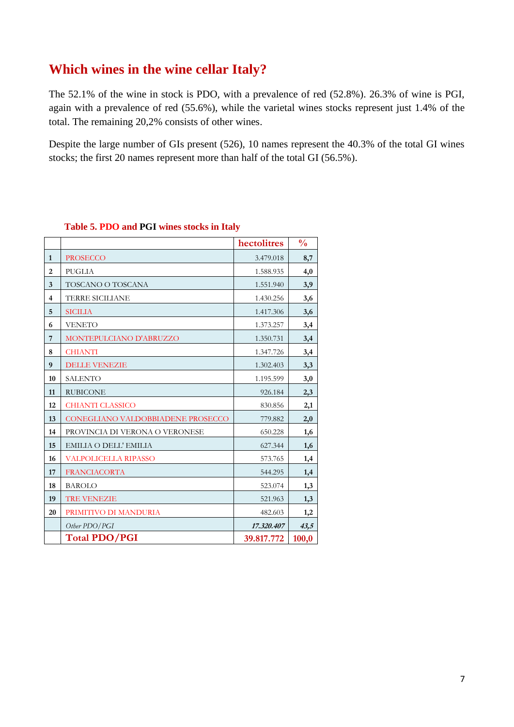## **Which wines in the wine cellar Italy?**

The 52.1% of the wine in stock is PDO, with a prevalence of red (52.8%). 26.3% of wine is PGI, again with a prevalence of red (55.6%), while the varietal wines stocks represent just 1.4% of the total. The remaining 20,2% consists of other wines.

Despite the large number of GIs present (526), 10 names represent the 40.3% of the total GI wines stocks; the first 20 names represent more than half of the total GI (56.5%).

|                |                                   | hectolitres | $\frac{0}{0}$ |
|----------------|-----------------------------------|-------------|---------------|
| $\mathbf{1}$   | <b>PROSECCO</b>                   | 3.479.018   | 8,7           |
| $\overline{2}$ | <b>PUGLIA</b>                     | 1.588.935   | 4,0           |
| 3              | TOSCANO O TOSCANA                 | 1.551.940   | 3,9           |
| $\overline{4}$ | <b>TERRE SICILIANE</b>            | 1.430.256   | 3,6           |
| 5              | <b>SICILIA</b>                    | 1.417.306   | 3,6           |
| 6              | <b>VENETO</b>                     | 1.373.257   | 3,4           |
| 7              | MONTEPULCIANO D'ABRUZZO           | 1.350.731   | 3,4           |
| 8              | <b>CHIANTI</b>                    | 1.347.726   | 3,4           |
| 9              | <b>DELLE VENEZIE</b>              | 1.302.403   | 3,3           |
| 10             | <b>SALENTO</b>                    | 1.195.599   | 3,0           |
| 11             | <b>RUBICONE</b>                   | 926.184     | 2,3           |
| 12             | <b>CHIANTI CLASSICO</b>           | 830.856     | 2,1           |
| 13             | CONEGLIANO VALDOBBIADENE PROSECCO | 779.882     | 2,0           |
| 14             | PROVINCIA DI VERONA O VERONESE    | 650.228     | 1,6           |
| 15             | EMILIA O DELL' EMILIA             | 627.344     | 1,6           |
| 16             | <b>VALPOLICELLA RIPASSO</b>       | 573.765     | 1,4           |
| 17             | <b>FRANCIACORTA</b>               | 544.295     | 1,4           |
| 18             | <b>BAROLO</b>                     | 523.074     | 1,3           |
| 19             | <b>TRE VENEZIE</b>                | 521.963     | 1,3           |
| 20             | PRIMITIVO DI MANDURIA             | 482.603     | 1,2           |
|                | Other PDO/PGI                     | 17.320.407  | 43,5          |
|                | <b>Total PDO/PGI</b>              | 39.817.772  | 100,0         |

## **Table 5. PDO and PGI wines stocks in Italy**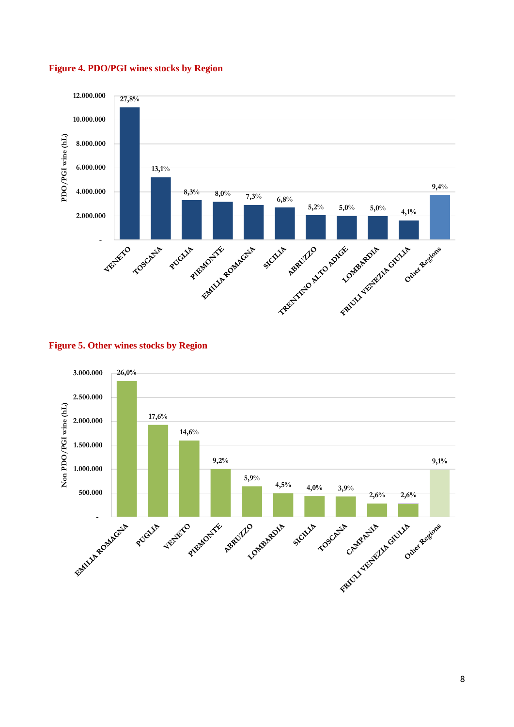

#### **Figure 4. PDO/PGI wines stocks by Region**



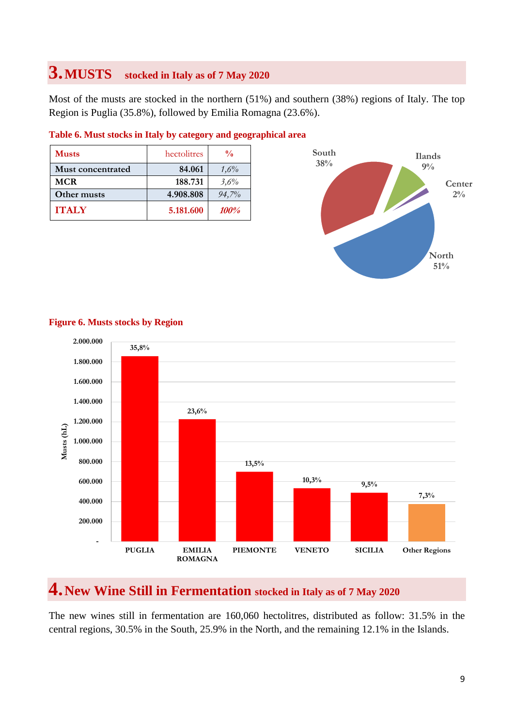## **3.MUSTS stocked in Italy as of 7 May <sup>2020</sup>**

Most of the musts are stocked in the northern (51%) and southern (38%) regions of Italy. The top Region is Puglia (35.8%), followed by Emilia Romagna (23.6%).

| <b>Musts</b>             | hectolitres | $\frac{0}{0}$ |
|--------------------------|-------------|---------------|
| <b>Must concentrated</b> | 84.061      | 1,6%          |
| <b>MCR</b>               | 188.731     | 3,6%          |
| Other musts              | 4.908.808   | $94,7\%$      |
| <b>ITALY</b>             | 5.181.600   | <i>100%</i>   |

### **Table 6. Must stocks in Italy by category and geographical area**





## **Figure 6. Musts stocks by Region**

## **4.New Wine Still in Fermentation stocked in Italy as of 7 May <sup>2020</sup>**

The new wines still in fermentation are 160,060 hectolitres, distributed as follow: 31.5% in the central regions, 30.5% in the South, 25.9% in the North, and the remaining 12.1% in the Islands.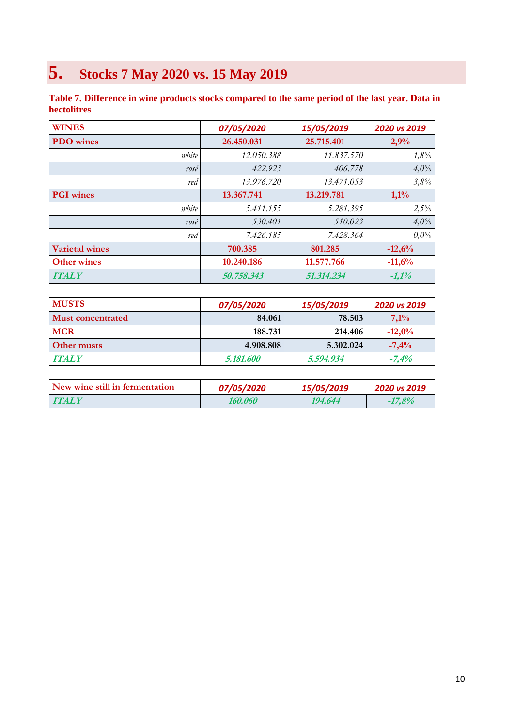# **5. Stocks 7 May 2020 vs. 15 May 2019**

**Table 7. Difference in wine products stocks compared to the same period of the last year. Data in hectolitres**

| <b>WINES</b>          | 07/05/2020 | 15/05/2019 | 2020 vs 2019 |
|-----------------------|------------|------------|--------------|
| <b>PDO</b> wines      | 26.450.031 | 25.715.401 | 2,9%         |
| white                 | 12.050.388 | 11.837.570 | 1,8%         |
| rosé                  | 422.923    | 406.778    | 4,0%         |
| red                   | 13.976.720 | 13.471.053 | 3,8%         |
| <b>PGI</b> wines      | 13.367.741 | 13.219.781 | $1,1\%$      |
| white                 | 5.411.155  | 5.281.395  | 2,5%         |
| rosé                  | 530.401    | 510.023    | 4,0%         |
| red                   | 7.426.185  | 7.428.364  | $0.0\%$      |
| <b>Varietal wines</b> | 700.385    | 801.285    | $-12,6%$     |
| <b>Other wines</b>    | 10.240.186 | 11.577.766 | $-11,6%$     |
| <b>ITALY</b>          | 50.758.343 | 51.314.234 | $-1,1%$      |

| <b>MUSTS</b>      | 07/05/2020              | 15/05/2019 | <b>2020 vs 2019</b> |
|-------------------|-------------------------|------------|---------------------|
| Must concentrated | 84.061                  | 78.503     | 7,1%                |
| <b>MCR</b>        | 188.731                 | 214.406    | $-12,0%$            |
| Other musts       | 4.908.808               | 5.302.024  | $-7,4%$             |
| <b>ITALY</b>      | <i><b>5.181.600</b></i> | 5.594.934  | $-7.4\%$            |

| New wine still in fermentation | <i><b>07/05/2020</b></i> | 15/05/2019 | 2020 vs 2019 |
|--------------------------------|--------------------------|------------|--------------|
| <b>TTALY</b>                   | 160.060                  | 194.644    | $-17.8\%$    |